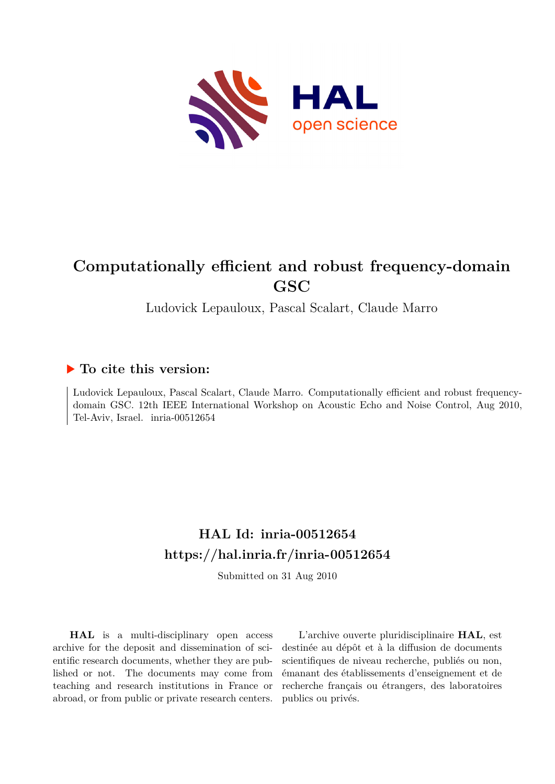

# **Computationally efficient and robust frequency-domain GSC**

Ludovick Lepauloux, Pascal Scalart, Claude Marro

# **To cite this version:**

Ludovick Lepauloux, Pascal Scalart, Claude Marro. Computationally efficient and robust frequencydomain GSC. 12th IEEE International Workshop on Acoustic Echo and Noise Control, Aug 2010, Tel-Aviv, Israel. inria-00512654

# **HAL Id: inria-00512654 <https://hal.inria.fr/inria-00512654>**

Submitted on 31 Aug 2010

**HAL** is a multi-disciplinary open access archive for the deposit and dissemination of scientific research documents, whether they are published or not. The documents may come from teaching and research institutions in France or abroad, or from public or private research centers.

L'archive ouverte pluridisciplinaire **HAL**, est destinée au dépôt et à la diffusion de documents scientifiques de niveau recherche, publiés ou non, émanant des établissements d'enseignement et de recherche français ou étrangers, des laboratoires publics ou privés.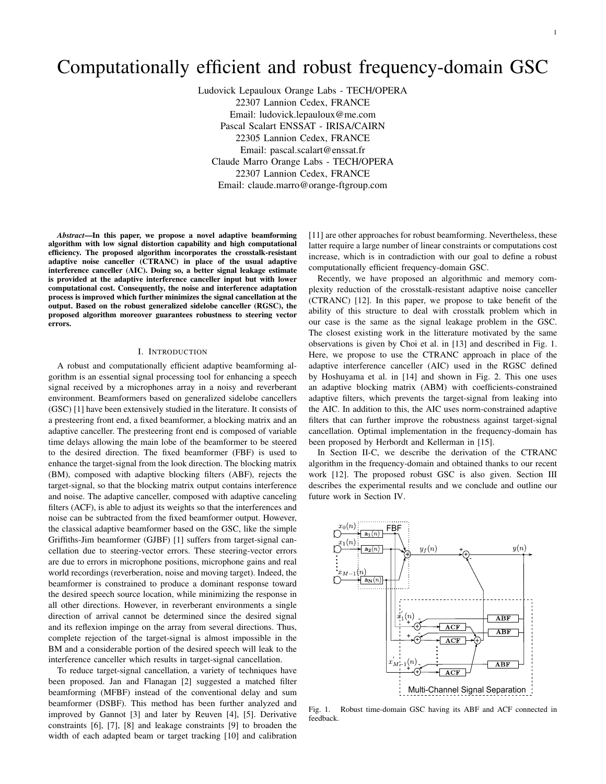# Computationally efficient and robust frequency-domain GSC

Ludovick Lepauloux Orange Labs - TECH/OPERA 22307 Lannion Cedex, FRANCE Email: ludovick.lepauloux@me.com Pascal Scalart ENSSAT - IRISA/CAIRN 22305 Lannion Cedex, FRANCE Email: pascal.scalart@enssat.fr Claude Marro Orange Labs - TECH/OPERA 22307 Lannion Cedex, FRANCE Email: claude.marro@orange-ftgroup.com

*Abstract*—In this paper, we propose a novel adaptive beamforming algorithm with low signal distortion capability and high computational efficiency. The proposed algorithm incorporates the crosstalk-resistant adaptive noise canceller (CTRANC) in place of the usual adaptive interference canceller (AIC). Doing so, a better signal leakage estimate is provided at the adaptive interference canceller input but with lower computational cost. Consequently, the noise and interference adaptation process is improved which further minimizes the signal cancellation at the output. Based on the robust generalized sidelobe canceller (RGSC), the proposed algorithm moreover guarantees robustness to steering vector errors.

### I. INTRODUCTION

A robust and computationally efficient adaptive beamforming algorithm is an essential signal processing tool for enhancing a speech signal received by a microphones array in a noisy and reverberant environment. Beamformers based on generalized sidelobe cancellers (GSC) [1] have been extensively studied in the literature. It consists of a presteering front end, a fixed beamformer, a blocking matrix and an adaptive canceller. The presteering front end is composed of variable time delays allowing the main lobe of the beamformer to be steered to the desired direction. The fixed beamformer (FBF) is used to enhance the target-signal from the look direction. The blocking matrix (BM), composed with adaptive blocking filters (ABF), rejects the target-signal, so that the blocking matrix output contains interference and noise. The adaptive canceller, composed with adaptive canceling filters (ACF), is able to adjust its weights so that the interferences and noise can be subtracted from the fixed beamformer output. However, the classical adaptive beamformer based on the GSC, like the simple Griffiths-Jim beamformer (GJBF) [1] suffers from target-signal cancellation due to steering-vector errors. These steering-vector errors are due to errors in microphone positions, microphone gains and real world recordings (reverberation, noise and moving target). Indeed, the beamformer is constrained to produce a dominant response toward the desired speech source location, while minimizing the response in all other directions. However, in reverberant environments a single direction of arrival cannot be determined since the desired signal and its reflexion impinge on the array from several directions. Thus, complete rejection of the target-signal is almost impossible in the BM and a considerable portion of the desired speech will leak to the interference canceller which results in target-signal cancellation.

To reduce target-signal cancellation, a variety of techniques have been proposed. Jan and Flanagan [2] suggested a matched filter beamforming (MFBF) instead of the conventional delay and sum beamformer (DSBF). This method has been further analyzed and improved by Gannot [3] and later by Reuven [4], [5]. Derivative constraints [6], [7], [8] and leakage constraints [9] to broaden the width of each adapted beam or target tracking [10] and calibration

[11] are other approaches for robust beamforming. Nevertheless, these latter require a large number of linear constraints or computations cost increase, which is in contradiction with our goal to define a robust computationally efficient frequency-domain GSC.

Recently, we have proposed an algorithmic and memory complexity reduction of the crosstalk-resistant adaptive noise canceller (CTRANC) [12]. In this paper, we propose to take benefit of the ability of this structure to deal with crosstalk problem which in our case is the same as the signal leakage problem in the GSC. The closest existing work in the litterature motivated by the same observations is given by Choi et al. in [13] and described in Fig. 1. Here, we propose to use the CTRANC approach in place of the adaptive interference canceller (AIC) used in the RGSC defined by Hoshuyama et al. in [14] and shown in Fig. 2. This one uses an adaptive blocking matrix (ABM) with coefficients-constrained adaptive filters, which prevents the target-signal from leaking into the AIC. In addition to this, the AIC uses norm-constrained adaptive filters that can further improve the robustness against target-signal cancellation. Optimal implementation in the frequency-domain has been proposed by Herbordt and Kellerman in [15].

In Section II-C, we describe the derivation of the CTRANC algorithm in the frequency-domain and obtained thanks to our recent work [12]. The proposed robust GSC is also given. Section III describes the experimental results and we conclude and outline our future work in Section IV.



Fig. 1. Robust time-domain GSC having its ABF and ACF connected in feedback.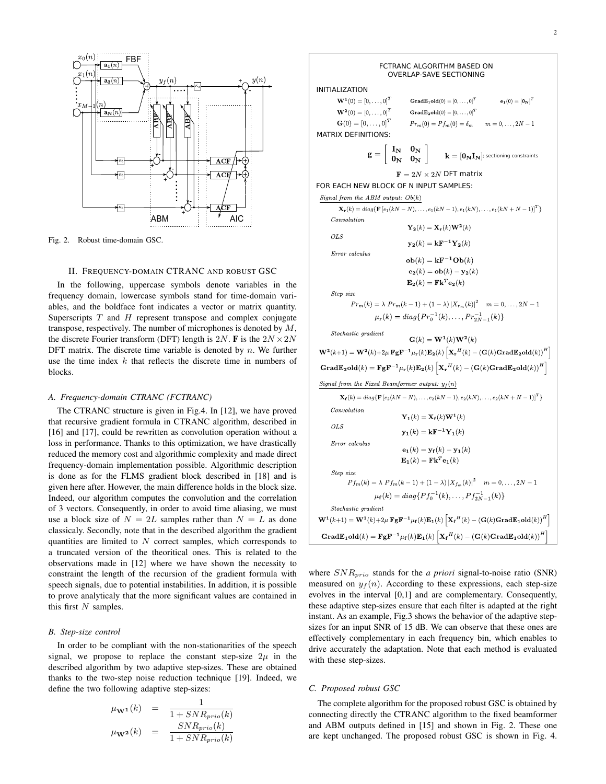

Fig. 2. Robust time-domain GSC.

#### II. FREQUENCY-DOMAIN CTRANC AND ROBUST GSC

In the following, uppercase symbols denote variables in the frequency domain, lowercase symbols stand for time-domain variables, and the boldface font indicates a vector or matrix quantity. Superscripts  $T$  and  $H$  represent transpose and complex conjugate transpose, respectively. The number of microphones is denoted by  $M$ , the discrete Fourier transform (DFT) length is 2N. F is the  $2N \times 2N$ DFT matrix. The discrete time variable is denoted by  $n$ . We further use the time index  $k$  that reflects the discrete time in numbers of blocks.

# *A. Frequency-domain CTRANC (FCTRANC)*

The CTRANC structure is given in Fig.4. In [12], we have proved that recursive gradient formula in CTRANC algorithm, described in [16] and [17], could be rewritten as convolution operation without a loss in performance. Thanks to this optimization, we have drastically reduced the memory cost and algorithmic complexity and made direct frequency-domain implementation possible. Algorithmic description is done as for the FLMS gradient block described in [18] and is given here after. However, the main difference holds in the block size. Indeed, our algorithm computes the convolution and the correlation of 3 vectors. Consequently, in order to avoid time aliasing, we must use a block size of  $N = 2L$  samples rather than  $N = L$  as done classicaly. Secondly, note that in the described algorithm the gradient quantities are limited to  $N$  correct samples, which corresponds to a truncated version of the theoritical ones. This is related to the observations made in [12] where we have shown the necessity to constraint the length of the recursion of the gradient formula with speech signals, due to potential instabilities. In addition, it is possible to prove analyticaly that the more significant values are contained in this first  $N$  samples.

# *B. Step-size control*

In order to be compliant with the non-stationarities of the speech signal, we propose to replace the constant step-size  $2\mu$  in the described algorithm by two adaptive step-sizes. These are obtained thanks to the two-step noise reduction technique [19]. Indeed, we define the two following adaptive step-sizes:

$$
\begin{array}{lcl} \mu_{\mathbf{W^1}}(k) & = & \displaystyle \frac{1}{1+SNR_{prio}(k)} \\ \mu_{\mathbf{W^2}}(k) & = & \displaystyle \frac{SNR_{prio}(k)}{1+SNR_{prio}(k)} \end{array}
$$

 FCTRANC ALGORITHM BASED ON OVERLAP-SAVE SECTIONING INITIALIZATION  $\mathbf{W}^{1}(0) = [0, \ldots, 0]^T$ Grad $\mathbf{E}_1$ old $(0) = [0, \ldots, 0]^T$  $\mathbf{e_1}(0) = \left[\mathbf{0_N}\right]^T$  $\mathbf{W}^{2}(0) = [0, \ldots, 0]^T$ GradE<sub>2</sub>old(0) =  $[0,\ldots,0]^T$  ${\bf G}(0) = [0, \ldots, 0]^T$  $Pr_m(0) = Pf_m(0) = \delta_m$  $m = 0, \ldots, 2N - 1$ MATRIX DEFINITIONS:  $\mathbf{g} = \left[ \begin{array}{cc} \mathbf{I_N} & \mathbf{0_N} \ \mathbf{0_N} & \mathbf{0_N} \end{array} \right]$  $\mathbf{k} = [\mathbf{0_N I_N}]$ ; sectioning constraints  $\mathbf{F} = 2N \times 2N$  DFT matrix FOR EACH NEW BLOCK OF N INPUT SAMPLES: Signal from the ABM output:  $Ob(k)$  $\mathbf{X}_{\mathbf{r}}(k) = diag\{\mathbf{F}\left[e_1(kN-N), \ldots, e_1(kN-1), e_1(kN), \ldots, e_1(kN+N-1)\right]^T\}$ Convolution  $\mathbf{Y_2}(k) = \mathbf{X_r}(k)\mathbf{W^2}(k)$  $OLS$  ${\bf y_2}(k) = {\bf k} {\bf F}^{-1} {\bf Y_2}(k)$ Error calculus  $ob(k) = kF^{-1}Ob(k)$  $\mathbf{e_2}(k) = \mathbf{ob}(k) - \mathbf{y_2}(k)$  $\mathbf{E_2}(k) = \mathbf{Fk}^T \mathbf{e_2}(k)$ Step size  $Pr_m(k) = \lambda Pr_m(k-1) + (1-\lambda) |X_{r_m}(k)|^2$   $m = 0, \ldots, 2N-1$  $\mu_{\mathbf{r}}(k) = diag\{Pr_0^{-1}(k), \ldots, Pr_{2N-1}^{-1}(k)\}\$ Stochastic gradient  $\mathbf{G}(k) = \mathbf{W}^1(k)\mathbf{W}^2(k)$  $\mathbf{W^2}(k+1) = \mathbf{W^2}(k) + 2\mu \ \mathbf{Fg} \mathbf{F^{-1}} \mu_{\mathbf{r}}(k) \mathbf{E_2}(k) \left[ \mathbf{X_r}^H(k) - \left( \mathbf{G}(k) \mathbf{GradE_2old}(k) \right)^H \right]$  $\mathbf{GradE_2old}(k) = \mathbf{FgF^{-1}}\mu_r(k)\mathbf{E_2}(k)\left[\mathbf{X_r}^H(k) - \left(\mathbf{G}(k)\mathbf{GradE_2old}(k)\right)^H\right]$ Signal from the Fixed Beamformer output:  $y_f(n)$  $\mathbf{X_f}(k) = diag\{\mathbf{F}\left[e_2(kN-N), \ldots, e_2(kN-1), e_2(kN), \ldots, e_2(kN+N-1)\right]^T\}$  $Convolution$  $\mathbf{Y}_1(k) = \mathbf{X}_{\mathbf{f}}(k)\mathbf{W}^1(k)$  $OLS$  ${\bf y_1}(k) = {\bf k} {\bf F}^{-1} {\bf Y_1}(k)$ Error calculus  ${\bf e_1}(k) = {\bf y_f}(k) - {\bf y_1}(k)$  $\mathbf{E}_1(k) = \mathbf{F} \mathbf{k}^T \mathbf{e}_1(k)$ Step size  $Pf_m(k) = \lambda Pf_m(k-1) + (1-\lambda) |X_{f_m}(k)|^2$   $m = 0, \ldots, 2N-1$  $\mu_{\mathbf{f}}(k) = diag\{Pf_0^{-1}(k), \ldots, Pf_{2N-1}^{-1}(k)\}\$  $Stochastic\ gradient$  $\mathbf{W}^1(k+1) = \mathbf{W}^1(k) + 2\mu \mathbf{Fg} \mathbf{F}^{-1} \mu_{\mathbf{f}}(k) \mathbf{E}_1(k) \left[ \mathbf{X_f}^H(k) - \left( \mathbf{G}(k) \mathbf{Grad} \mathbf{E}_1 \mathbf{old}(k) \right)^H \right]$  $\mathbf{GradE_1old}(k) = \mathbf{Fg} \mathbf{F}^{-1} \mu_f(k) \mathbf{E_1}(k) \left[ \mathbf{X_f}^H(k) - (\mathbf{G}(k) \mathbf{GradE_1old}(k))^H \right]$ 

where  $SNR_{prio}$  stands for the *a priori* signal-to-noise ratio (SNR) measured on  $y_f(n)$ . According to these expressions, each step-size evolves in the interval [0,1] and are complementary. Consequently, these adaptive step-sizes ensure that each filter is adapted at the right instant. As an example, Fig.3 shows the behavior of the adaptive stepsizes for an input SNR of 15 dB. We can observe that these ones are effectively complementary in each frequency bin, which enables to drive accurately the adaptation. Note that each method is evaluated with these step-sizes.

#### *C. Proposed robust GSC*

The complete algorithm for the proposed robust GSC is obtained by connecting directly the CTRANC algorithm to the fixed beamformer and ABM outputs defined in [15] and shown in Fig. 2. These one are kept unchanged. The proposed robust GSC is shown in Fig. 4.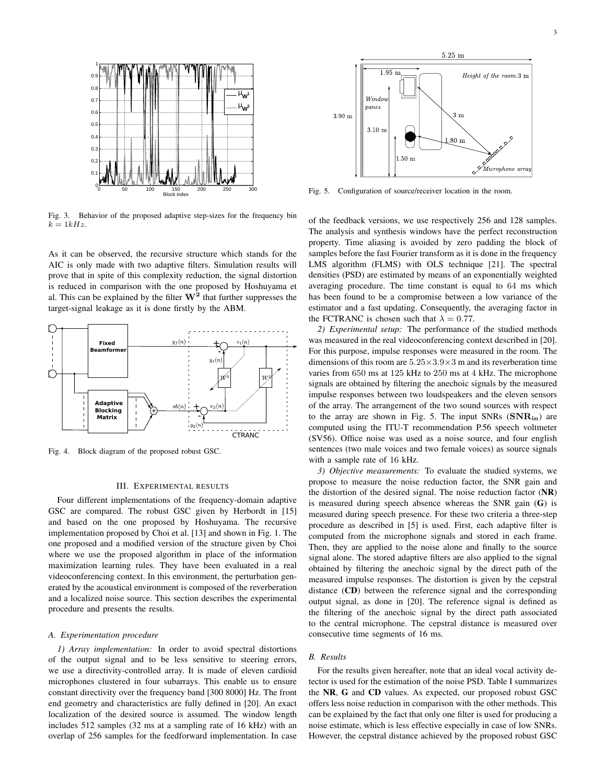

Fig. 3. Behavior of the proposed adaptive step-sizes for the frequency bin  $k = 1kHz$ .

As it can be observed, the recursive structure which stands for the AIC is only made with two adaptive filters. Simulation results will prove that in spite of this complexity reduction, the signal distortion is reduced in comparison with the one proposed by Hoshuyama et al. This can be explained by the filter  $W^2$  that further suppresses the target-signal leakage as it is done firstly by the ABM.



Fig. 4. Block diagram of the proposed robust GSC.

### III. EXPERIMENTAL RESULTS

Four different implementations of the frequency-domain adaptive GSC are compared. The robust GSC given by Herbordt in [15] and based on the one proposed by Hoshuyama. The recursive implementation proposed by Choi et al. [13] and shown in Fig. 1. The one proposed and a modified version of the structure given by Choi where we use the proposed algorithm in place of the information maximization learning rules. They have been evaluated in a real videoconferencing context. In this environment, the perturbation generated by the acoustical environment is composed of the reverberation and a localized noise source. This section describes the experimental procedure and presents the results.

### *A. Experimentation procedure*

*1) Array implementation:* In order to avoid spectral distortions of the output signal and to be less sensitive to steering errors, we use a directivity-controlled array. It is made of eleven cardioid microphones clustered in four subarrays. This enable us to ensure constant directivity over the frequency band [300 8000] Hz. The front end geometry and characteristics are fully defined in [20]. An exact localization of the desired source is assumed. The window length includes 512 samples (32 ms at a sampling rate of 16 kHz) with an overlap of 256 samples for the feedforward implementation. In case



Fig. 5. Configuration of source/receiver location in the room.

of the feedback versions, we use respectively 256 and 128 samples. The analysis and synthesis windows have the perfect reconstruction property. Time aliasing is avoided by zero padding the block of samples before the fast Fourier transform as it is done in the frequency LMS algorithm (FLMS) with OLS technique [21]. The spectral densities (PSD) are estimated by means of an exponentially weighted averaging procedure. The time constant is equal to 64 ms which has been found to be a compromise between a low variance of the estimator and a fast updating. Consequently, the averaging factor in the FCTRANC is chosen such that  $\lambda = 0.77$ .

*2) Experimental setup:* The performance of the studied methods was measured in the real videoconferencing context described in [20]. For this purpose, impulse responses were measured in the room. The dimensions of this room are  $5.25 \times 3.9 \times 3$  m and its reverberation time varies from 650 ms at 125 kHz to 250 ms at 4 kHz. The microphone signals are obtained by filtering the anechoic signals by the measured impulse responses between two loudspeakers and the eleven sensors of the array. The arrangement of the two sound sources with respect to the array are shown in Fig. 5. The input SNRs  $(SNR_{in})$  are computed using the ITU-T recommendation P.56 speech voltmeter (SV56). Office noise was used as a noise source, and four english sentences (two male voices and two female voices) as source signals with a sample rate of 16 kHz.

*3) Objective measurements:* To evaluate the studied systems, we propose to measure the noise reduction factor, the SNR gain and the distortion of the desired signal. The noise reduction factor  $(NR)$ is measured during speech absence whereas the SNR gain (G) is measured during speech presence. For these two criteria a three-step procedure as described in [5] is used. First, each adaptive filter is computed from the microphone signals and stored in each frame. Then, they are applied to the noise alone and finally to the source signal alone. The stored adaptive filters are also applied to the signal obtained by filtering the anechoic signal by the direct path of the measured impulse responses. The distortion is given by the cepstral distance (CD) between the reference signal and the corresponding output signal, as done in [20]. The reference signal is defined as the filtering of the anechoic signal by the direct path associated to the central microphone. The cepstral distance is measured over consecutive time segments of 16 ms.

# *B. Results*

For the results given hereafter, note that an ideal vocal activity detector is used for the estimation of the noise PSD. Table I summarizes the NR, G and CD values. As expected, our proposed robust GSC offers less noise reduction in comparison with the other methods. This can be explained by the fact that only one filter is used for producing a noise estimate, which is less effective especially in case of low SNRs. However, the cepstral distance achieved by the proposed robust GSC